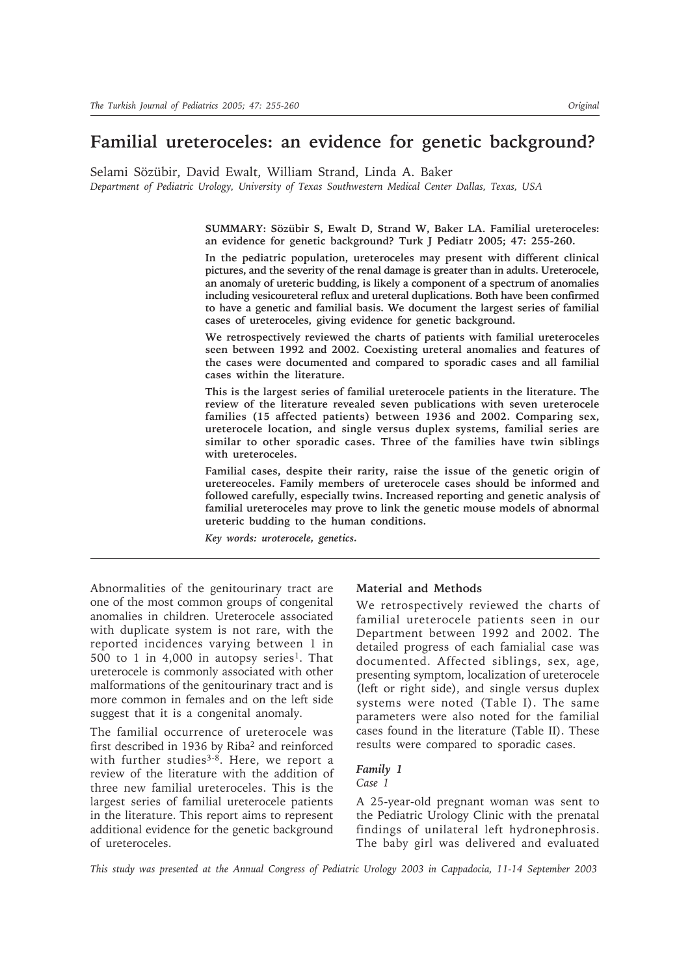# **Familial ureteroceles: an evidence for genetic background?**

Selami Sözübir, David Ewalt, William Strand, Linda A. Baker *Department of Pediatric Urology, University of Texas Southwestern Medical Center Dallas, Texas, USA*

> **SUMMARY: Sözübir S, Ewalt D, Strand W, Baker LA. Familial ureteroceles: an evidence for genetic background? Turk J Pediatr 2005; 47: 255-260.**

> **In the pediatric population, ureteroceles may present with different clinical pictures, and the severity of the renal damage is greater than in adults. Ureterocele, an anomaly of ureteric budding, is likely a component of a spectrum of anomalies including vesicoureteral reflux and ureteral duplications. Both have been confirmed to have a genetic and familial basis. We document the largest series of familial cases of ureteroceles, giving evidence for genetic background.**

> **We retrospectively reviewed the charts of patients with familial ureteroceles seen between 1992 and 2002. Coexisting ureteral anomalies and features of the cases were documented and compared to sporadic cases and all familial cases within the literature.**

> **This is the largest series of familial ureterocele patients in the literature. The review of the literature revealed seven publications with seven ureterocele families (15 affected patients) between 1936 and 2002. Comparing sex, ureterocele location, and single versus duplex systems, familial series are similar to other sporadic cases. Three of the families have twin siblings with ureteroceles.**

> **Familial cases, despite their rarity, raise the issue of the genetic origin of uretereoceles. Family members of ureterocele cases should be informed and followed carefully, especially twins. Increased reporting and genetic analysis of familial ureteroceles may prove to link the genetic mouse models of abnormal ureteric budding to the human conditions.**

*Key words: uroterocele, genetics.*

Abnormalities of the genitourinary tract are one of the most common groups of congenital anomalies in children. Ureterocele associated with duplicate system is not rare, with the reported incidences varying between 1 in 500 to 1 in 4,000 in autopsy series<sup>1</sup>. That ureterocele is commonly associated with other malformations of the genitourinary tract and is more common in females and on the left side suggest that it is a congenital anomaly.

The familial occurrence of ureterocele was first described in 1936 by Riba2 and reinforced with further studies<sup>3-8</sup>. Here, we report a review of the literature with the addition of three new familial ureteroceles. This is the largest series of familial ureterocele patients in the literature. This report aims to represent additional evidence for the genetic background of ureteroceles.

#### **Material and Methods**

We retrospectively reviewed the charts of familial ureterocele patients seen in our Department between 1992 and 2002. The detailed progress of each famialial case was documented. Affected siblings, sex, age, presenting symptom, localization of ureterocele (left or right side), and single versus duplex systems were noted (Table I). The same parameters were also noted for the familial cases found in the literature (Table II). These results were compared to sporadic cases.

## *Family 1*

*Case 1*

A 25-year-old pregnant woman was sent to the Pediatric Urology Clinic with the prenatal findings of unilateral left hydronephrosis. The baby girl was delivered and evaluated

*This study was presented at the Annual Congress of Pediatric Urology 2003 in Cappadocia, 11-14 September 2003*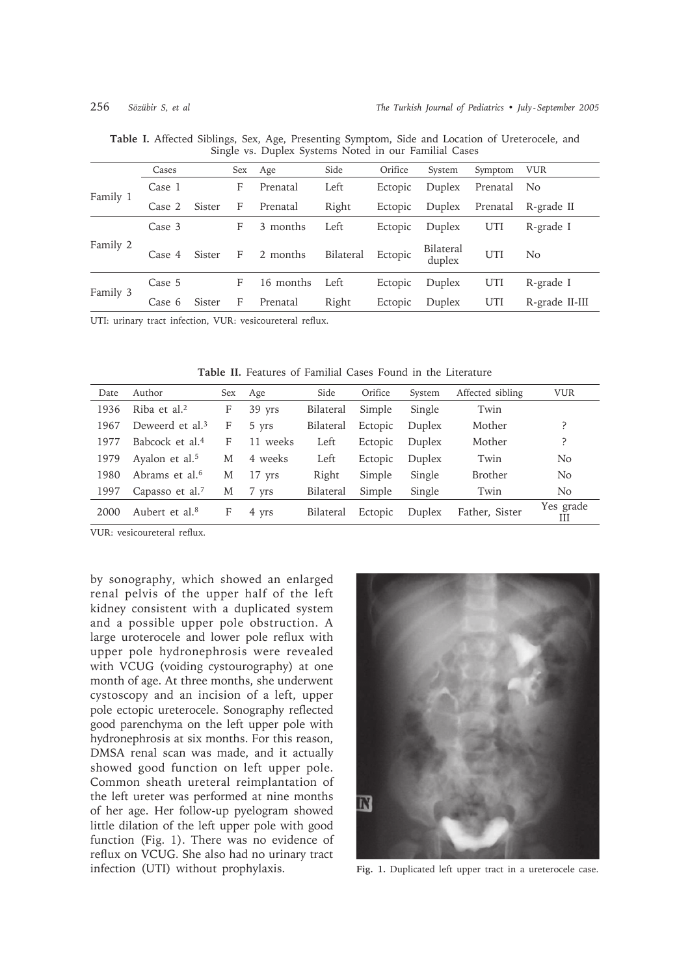|          | Cases  |        | Sex | Age       | Side      | Orifice | System              | Symptom  | <b>VUR</b>     |
|----------|--------|--------|-----|-----------|-----------|---------|---------------------|----------|----------------|
| Family 1 | Case 1 |        | F   | Prenatal  | Left      | Ectopic | Duplex              | Prenatal | N <sub>o</sub> |
|          | Case 2 | Sister | F   | Prenatal  | Right     | Ectopic | Duplex              | Prenatal | R-grade II     |
| Family 2 | Case 3 |        | F   | 3 months  | Left      | Ectopic | Duplex              | UTI      | R-grade I      |
|          | Case 4 | Sister | F   | 2 months  | Bilateral | Ectopic | Bilateral<br>duplex | UTI      | No.            |
| Family 3 | Case 5 |        | F   | 16 months | Left      | Ectopic | Duplex              | UTI      | R-grade I      |
|          | Case 6 | Sister | F   | Prenatal  | Right     | Ectopic | Duplex              | UTI      | R-grade II-III |
|          |        |        |     |           |           |         |                     |          |                |

**Table I.** Affected Siblings, Sex, Age, Presenting Symptom, Side and Location of Ureterocele, and Single vs. Duplex Systems Noted in our Familial Cases

UTI: urinary tract infection, VUR: vesicoureteral reflux.

| Date | Author                      | Sex | Age      | Side      | Orifice | System | Affected sibling | <b>VUR</b>     |
|------|-----------------------------|-----|----------|-----------|---------|--------|------------------|----------------|
| 1936 | Riba et al. $2$             | F   | $39$ yrs | Bilateral | Simple  | Single | Twin             |                |
| 1967 | Deweerd et al. <sup>3</sup> | F   | 5 yrs    | Bilateral | Ectopic | Duplex | Mother           | ?              |
| 1977 | Babcock et al. <sup>4</sup> | F   | 11 weeks | Left      | Ectopic | Duplex | Mother           | ?              |
| 1979 | Ayalon et al. <sup>5</sup>  | M   | 4 weeks  | Left      | Ectopic | Duplex | Twin             | N <sub>o</sub> |
| 1980 | Abrams et al. <sup>6</sup>  | М   | $17$ yrs | Right     | Simple  | Single | <b>Brother</b>   | N <sub>o</sub> |
| 1997 | Capasso et al. <sup>7</sup> | M   | 7 yrs    | Bilateral | Simple  | Single | Twin             | N <sub>o</sub> |
| 2000 | Aubert et al. <sup>8</sup>  | F   | 4 yrs    | Bilateral | Ectopic | Duplex | Father, Sister   | Yes grade<br>Ш |

**Table II.** Features of Familial Cases Found in the Literature

VUR: vesicoureteral reflux.

by sonography, which showed an enlarged renal pelvis of the upper half of the left kidney consistent with a duplicated system and a possible upper pole obstruction. A large uroterocele and lower pole reflux with upper pole hydronephrosis were revealed with VCUG (voiding cystourography) at one month of age. At three months, she underwent cystoscopy and an incision of a left, upper pole ectopic ureterocele. Sonography reflected good parenchyma on the left upper pole with hydronephrosis at six months. For this reason, DMSA renal scan was made, and it actually showed good function on left upper pole. Common sheath ureteral reimplantation of the left ureter was performed at nine months of her age. Her follow-up pyelogram showed little dilation of the left upper pole with good function (Fig. 1). There was no evidence of reflux on VCUG. She also had no urinary tract infection (UTI) without prophylaxis.



**Fig. 1.** Duplicated left upper tract in a ureterocele case.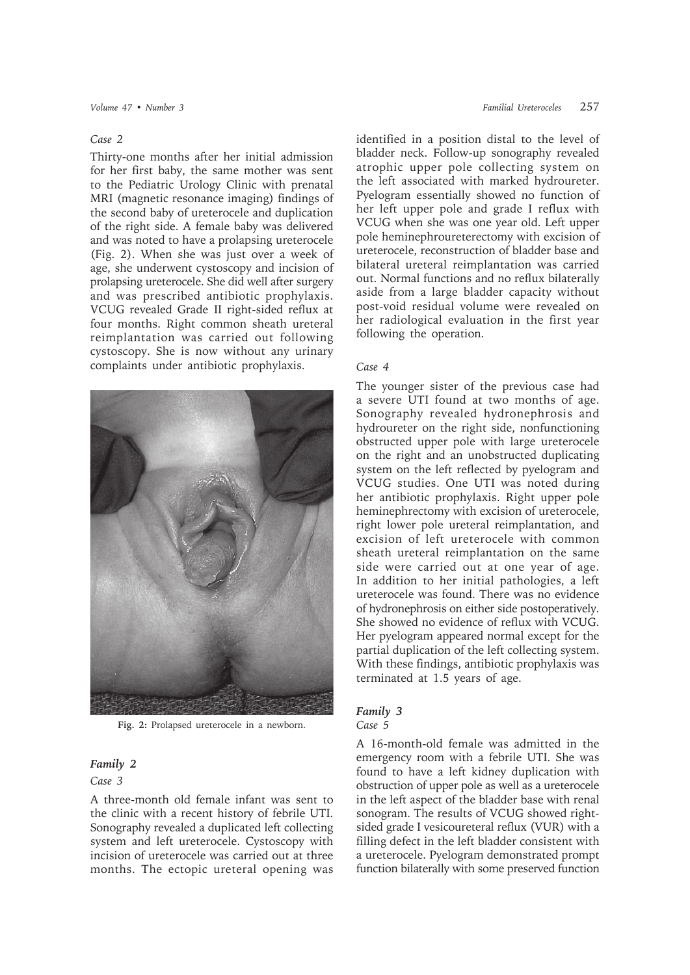#### *Case 2*

Thirty-one months after her initial admission for her first baby, the same mother was sent to the Pediatric Urology Clinic with prenatal MRI (magnetic resonance imaging) findings of the second baby of ureterocele and duplication of the right side. A female baby was delivered and was noted to have a prolapsing ureterocele (Fig. 2). When she was just over a week of age, she underwent cystoscopy and incision of prolapsing ureterocele. She did well after surgery and was prescribed antibiotic prophylaxis. VCUG revealed Grade II right-sided reflux at four months. Right common sheath ureteral reimplantation was carried out following cystoscopy. She is now without any urinary complaints under antibiotic prophylaxis.



**Fig. 2:** Prolapsed ureterocele in a newborn.

#### *Family 2*

#### *Case 3*

A three-month old female infant was sent to the clinic with a recent history of febrile UTI. Sonography revealed a duplicated left collecting system and left ureterocele. Cystoscopy with incision of ureterocele was carried out at three months. The ectopic ureteral opening was identified in a position distal to the level of bladder neck. Follow-up sonography revealed atrophic upper pole collecting system on the left associated with marked hydroureter. Pyelogram essentially showed no function of her left upper pole and grade I reflux with VCUG when she was one year old. Left upper pole heminephroureterectomy with excision of ureterocele, reconstruction of bladder base and bilateral ureteral reimplantation was carried out. Normal functions and no reflux bilaterally aside from a large bladder capacity without post-void residual volume were revealed on her radiological evaluation in the first year following the operation.

#### *Case 4*

The younger sister of the previous case had a severe UTI found at two months of age. Sonography revealed hydronephrosis and hydroureter on the right side, nonfunctioning obstructed upper pole with large ureterocele on the right and an unobstructed duplicating system on the left reflected by pyelogram and VCUG studies. One UTI was noted during her antibiotic prophylaxis. Right upper pole heminephrectomy with excision of ureterocele, right lower pole ureteral reimplantation, and excision of left ureterocele with common sheath ureteral reimplantation on the same side were carried out at one year of age. In addition to her initial pathologies, a left ureterocele was found. There was no evidence of hydronephrosis on either side postoperatively. She showed no evidence of reflux with VCUG. Her pyelogram appeared normal except for the partial duplication of the left collecting system. With these findings, antibiotic prophylaxis was terminated at 1.5 years of age.

#### *Family 3*

#### *Case 5*

A 16-month-old female was admitted in the emergency room with a febrile UTI. She was found to have a left kidney duplication with obstruction of upper pole as well as a ureterocele in the left aspect of the bladder base with renal sonogram. The results of VCUG showed rightsided grade I vesicoureteral reflux (VUR) with a filling defect in the left bladder consistent with a ureterocele. Pyelogram demonstrated prompt function bilaterally with some preserved function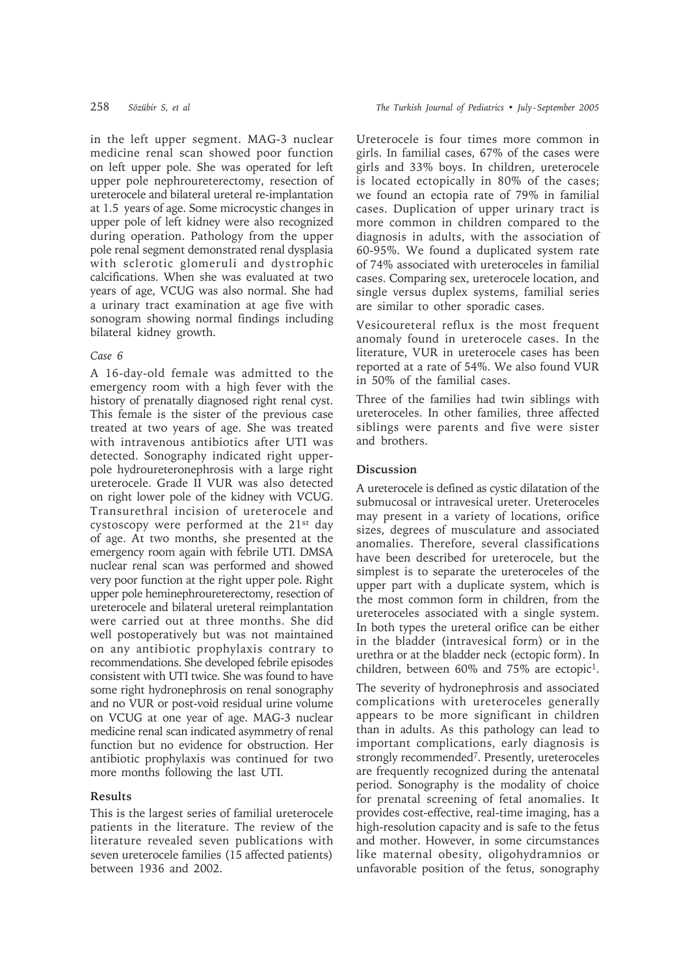in the left upper segment. MAG-3 nuclear medicine renal scan showed poor function on left upper pole. She was operated for left upper pole nephroureterectomy, resection of ureterocele and bilateral ureteral re-implantation at 1.5 years of age. Some microcystic changes in upper pole of left kidney were also recognized during operation. Pathology from the upper pole renal segment demonstrated renal dysplasia with sclerotic glomeruli and dystrophic calcifications. When she was evaluated at two years of age, VCUG was also normal. She had a urinary tract examination at age five with sonogram showing normal findings including bilateral kidney growth.

#### *Case 6*

A 16-day-old female was admitted to the emergency room with a high fever with the history of prenatally diagnosed right renal cyst. This female is the sister of the previous case treated at two years of age. She was treated with intravenous antibiotics after UTI was detected. Sonography indicated right upperpole hydroureteronephrosis with a large right ureterocele. Grade II VUR was also detected on right lower pole of the kidney with VCUG. Transurethral incision of ureterocele and cystoscopy were performed at the 21st day of age. At two months, she presented at the emergency room again with febrile UTI. DMSA nuclear renal scan was performed and showed very poor function at the right upper pole. Right upper pole heminephroureterectomy, resection of ureterocele and bilateral ureteral reimplantation were carried out at three months. She did well postoperatively but was not maintained on any antibiotic prophylaxis contrary to recommendations. She developed febrile episodes consistent with UTI twice. She was found to have some right hydronephrosis on renal sonography and no VUR or post-void residual urine volume on VCUG at one year of age. MAG-3 nuclear medicine renal scan indicated asymmetry of renal function but no evidence for obstruction. Her antibiotic prophylaxis was continued for two more months following the last UTI.

### **Results**

This is the largest series of familial ureterocele patients in the literature. The review of the literature revealed seven publications with seven ureterocele families (15 affected patients) between 1936 and 2002.

Ureterocele is four times more common in girls. In familial cases, 67% of the cases were girls and 33% boys. In children, ureterocele is located ectopically in 80% of the cases; we found an ectopia rate of 79% in familial cases. Duplication of upper urinary tract is more common in children compared to the diagnosis in adults, with the association of 60-95%. We found a duplicated system rate of 74% associated with ureteroceles in familial cases. Comparing sex, ureterocele location, and single versus duplex systems, familial series are similar to other sporadic cases.

Vesicoureteral reflux is the most frequent anomaly found in ureterocele cases. In the literature, VUR in ureterocele cases has been reported at a rate of 54%. We also found VUR in 50% of the familial cases.

Three of the families had twin siblings with ureteroceles. In other families, three affected siblings were parents and five were sister and brothers.

### **Discussion**

A ureterocele is defined as cystic dilatation of the submucosal or intravesical ureter. Ureteroceles may present in a variety of locations, orifice sizes, degrees of musculature and associated anomalies. Therefore, several classifications have been described for ureterocele, but the simplest is to separate the ureteroceles of the upper part with a duplicate system, which is the most common form in children, from the ureteroceles associated with a single system. In both types the ureteral orifice can be either in the bladder (intravesical form) or in the urethra or at the bladder neck (ectopic form). In children, between 60% and 75% are ectopic1.

The severity of hydronephrosis and associated complications with ureteroceles generally appears to be more significant in children than in adults. As this pathology can lead to important complications, early diagnosis is strongly recommended<sup>7</sup>. Presently, ureteroceles are frequently recognized during the antenatal period. Sonography is the modality of choice for prenatal screening of fetal anomalies. It provides cost-effective, real-time imaging, has a high-resolution capacity and is safe to the fetus and mother. However, in some circumstances like maternal obesity, oligohydramnios or unfavorable position of the fetus, sonography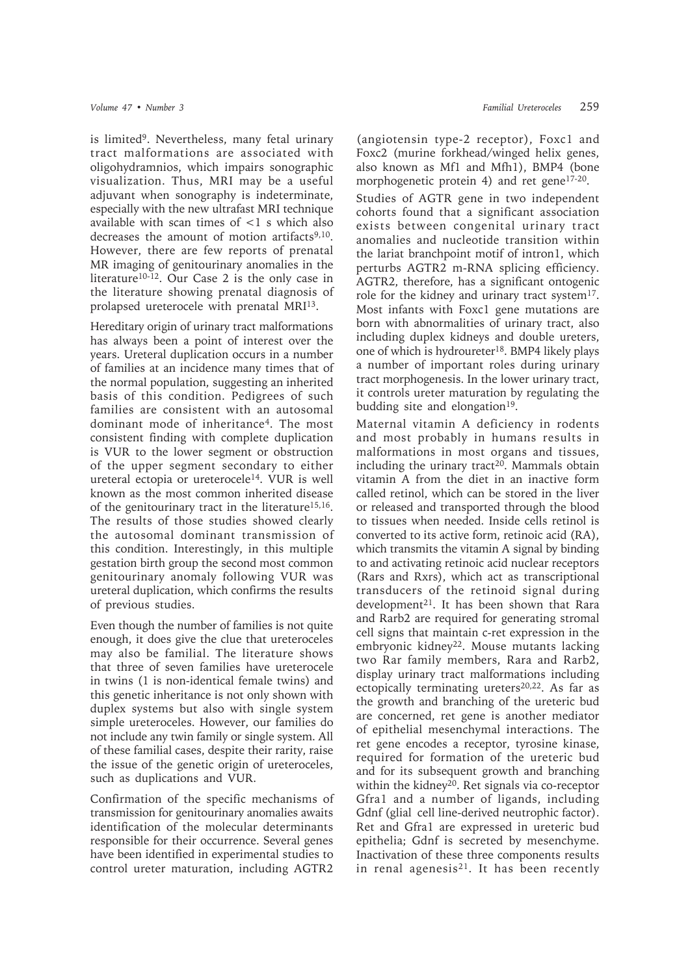is limited9. Nevertheless, many fetal urinary tract malformations are associated with oligohydramnios, which impairs sonographic visualization. Thus, MRI may be a useful adjuvant when sonography is indeterminate, especially with the new ultrafast MRI technique available with scan times of <1 s which also decreases the amount of motion artifacts<sup>9,10</sup>. However, there are few reports of prenatal MR imaging of genitourinary anomalies in the literature10-12. Our Case 2 is the only case in the literature showing prenatal diagnosis of prolapsed ureterocele with prenatal MRI13.

Hereditary origin of urinary tract malformations has always been a point of interest over the years. Ureteral duplication occurs in a number of families at an incidence many times that of the normal population, suggesting an inherited basis of this condition. Pedigrees of such families are consistent with an autosomal dominant mode of inheritance4. The most consistent finding with complete duplication is VUR to the lower segment or obstruction of the upper segment secondary to either ureteral ectopia or ureterocele14. VUR is well known as the most common inherited disease of the genitourinary tract in the literature<sup>15,16</sup>. The results of those studies showed clearly the autosomal dominant transmission of this condition. Interestingly, in this multiple gestation birth group the second most common genitourinary anomaly following VUR was ureteral duplication, which confirms the results of previous studies.

Even though the number of families is not quite enough, it does give the clue that ureteroceles may also be familial. The literature shows that three of seven families have ureterocele in twins (1 is non-identical female twins) and this genetic inheritance is not only shown with duplex systems but also with single system simple ureteroceles. However, our families do not include any twin family or single system. All of these familial cases, despite their rarity, raise the issue of the genetic origin of ureteroceles, such as duplications and VUR.

Confirmation of the specific mechanisms of transmission for genitourinary anomalies awaits identification of the molecular determinants responsible for their occurrence. Several genes have been identified in experimental studies to control ureter maturation, including AGTR2

(angiotensin type-2 receptor), Foxc1 and Foxc2 (murine forkhead/winged helix genes, also known as Mf1 and Mfh1), BMP4 (bone morphogenetic protein 4) and ret gene17-20.

Studies of AGTR gene in two independent cohorts found that a significant association exists between congenital urinary tract anomalies and nucleotide transition within the lariat branchpoint motif of intron1, which perturbs AGTR2 m-RNA splicing efficiency. AGTR2, therefore, has a significant ontogenic role for the kidney and urinary tract system<sup>17</sup>. Most infants with Foxc1 gene mutations are born with abnormalities of urinary tract, also including duplex kidneys and double ureters, one of which is hydroureter18. BMP4 likely plays a number of important roles during urinary tract morphogenesis. In the lower urinary tract, it controls ureter maturation by regulating the budding site and elongation<sup>19</sup>.

Maternal vitamin A deficiency in rodents and most probably in humans results in malformations in most organs and tissues, including the urinary tract<sup>20</sup>. Mammals obtain vitamin A from the diet in an inactive form called retinol, which can be stored in the liver or released and transported through the blood to tissues when needed. Inside cells retinol is converted to its active form, retinoic acid (RA), which transmits the vitamin A signal by binding to and activating retinoic acid nuclear receptors (Rars and Rxrs), which act as transcriptional transducers of the retinoid signal during development<sup>21</sup>. It has been shown that Rara and Rarb2 are required for generating stromal cell signs that maintain c-ret expression in the embryonic kidney<sup>22</sup>. Mouse mutants lacking two Rar family members, Rara and Rarb2, display urinary tract malformations including ectopically terminating ureters<sup>20,22</sup>. As far as the growth and branching of the ureteric bud are concerned, ret gene is another mediator of epithelial mesenchymal interactions. The ret gene encodes a receptor, tyrosine kinase, required for formation of the ureteric bud and for its subsequent growth and branching within the kidney<sup>20</sup>. Ret signals via co-receptor Gfra1 and a number of ligands, including Gdnf (glial cell line-derived neutrophic factor). Ret and Gfra1 are expressed in ureteric bud epithelia; Gdnf is secreted by mesenchyme. Inactivation of these three components results in renal agenesis<sup>21</sup>. It has been recently